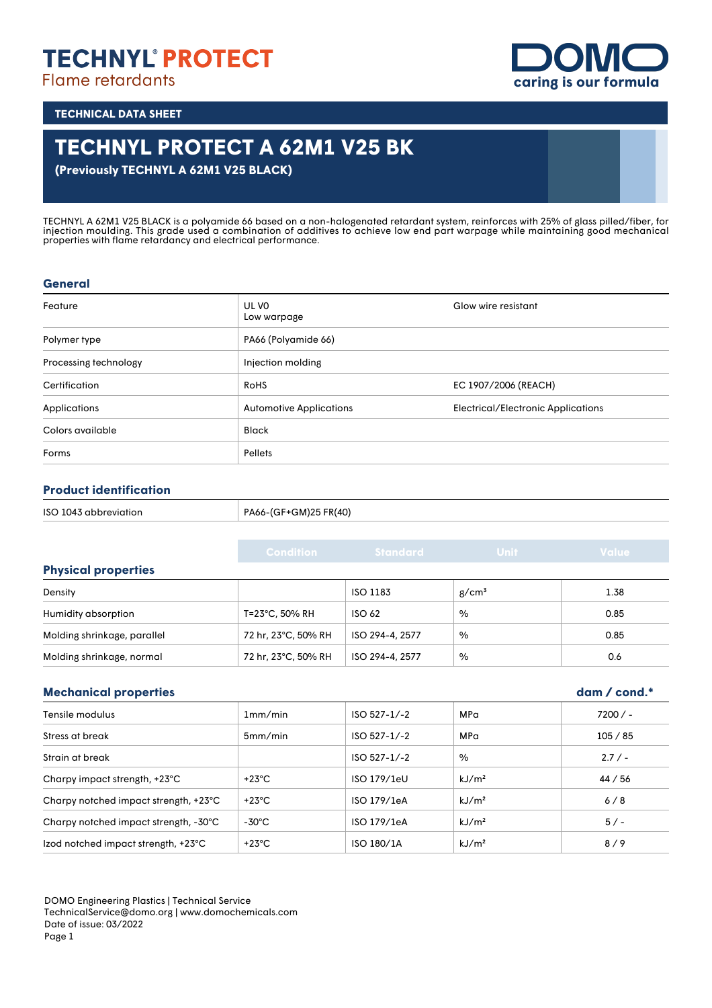### **TECHNYL' PROTECT Flame retardants**

**caring is our formula**

**TECHNICAL DATA SHEET**

## **TECHNYL PROTECT A 62M1 V25 BK**

**(Previously TECHNYL A 62M1 V25 BLACK)**

TECHNYL A 62M1 V25 BLACK is a polyamide 66 based on a non-halogenated retardant system, reinforces with 25% of glass pilled/fiber, for injection moulding. This grade used a combination of additives to achieve low end part warpage while maintaining good mechanical properties with flame retardancy and electrical performance.

#### **General**

| Feature               | UL VO<br>Low warpage           | Glow wire resistant                       |
|-----------------------|--------------------------------|-------------------------------------------|
| Polymer type          | PA66 (Polyamide 66)            |                                           |
| Processing technology | Injection molding              |                                           |
| Certification         | <b>RoHS</b>                    | EC 1907/2006 (REACH)                      |
| Applications          | <b>Automotive Applications</b> | <b>Electrical/Electronic Applications</b> |
| Colors available      | <b>Black</b>                   |                                           |
| Forms                 | <b>Pellets</b>                 |                                           |

#### **Product identification**

| ISO 1043 abbreviation | PA66-(GF+GM)25 FR(40)<br>$\sim$ $\sim$<br>$\sim$ $\sim$ $\sim$ |
|-----------------------|----------------------------------------------------------------|
|                       |                                                                |

|                             | <b>Condition</b>    | <b>Standard</b> | <b>Unit</b>       | Value |
|-----------------------------|---------------------|-----------------|-------------------|-------|
| <b>Physical properties</b>  |                     |                 |                   |       |
| Density                     |                     | ISO 1183        | g/cm <sup>3</sup> | 1.38  |
| Humidity absorption         | T=23°C, 50% RH      | <b>ISO 62</b>   | %                 | 0.85  |
| Molding shrinkage, parallel | 72 hr, 23°C, 50% RH | ISO 294-4, 2577 | %                 | 0.85  |
| Molding shrinkage, normal   | 72 hr, 23°C, 50% RH | ISO 294-4, 2577 | %                 | 0.6   |

#### **Mechanical properties dam / cond.\***

| Tensile modulus                       | 1mm/min         | ISO 527-1/-2   | MPa               | $7200/ -$ |
|---------------------------------------|-----------------|----------------|-------------------|-----------|
| Stress at break                       | 5mm/min         | ISO 527-1/-2   | MPa               | 105 / 85  |
| Strain at break                       |                 | $ISO 527-1/-2$ | %                 | 2.7/      |
| Charpy impact strength, +23°C         | +23°C           | ISO 179/1eU    | kJ/m <sup>2</sup> | 44 / 56   |
| Charpy notched impact strength, +23°C | +23°C           | ISO 179/1eA    | kJ/m <sup>2</sup> | 6/8       |
| Charpy notched impact strength, -30°C | $-30^{\circ}$ C | ISO 179/1eA    | kJ/m <sup>2</sup> | $5/-$     |
| Izod notched impact strength, +23°C   | $+23^{\circ}$ C | ISO 180/1A     | kJ/m <sup>2</sup> | 8/9       |

DOMO Engineering Plastics | Technical Service TechnicalService@domo.org | www.domochemicals.com Date of issue: 03/2022 Page 1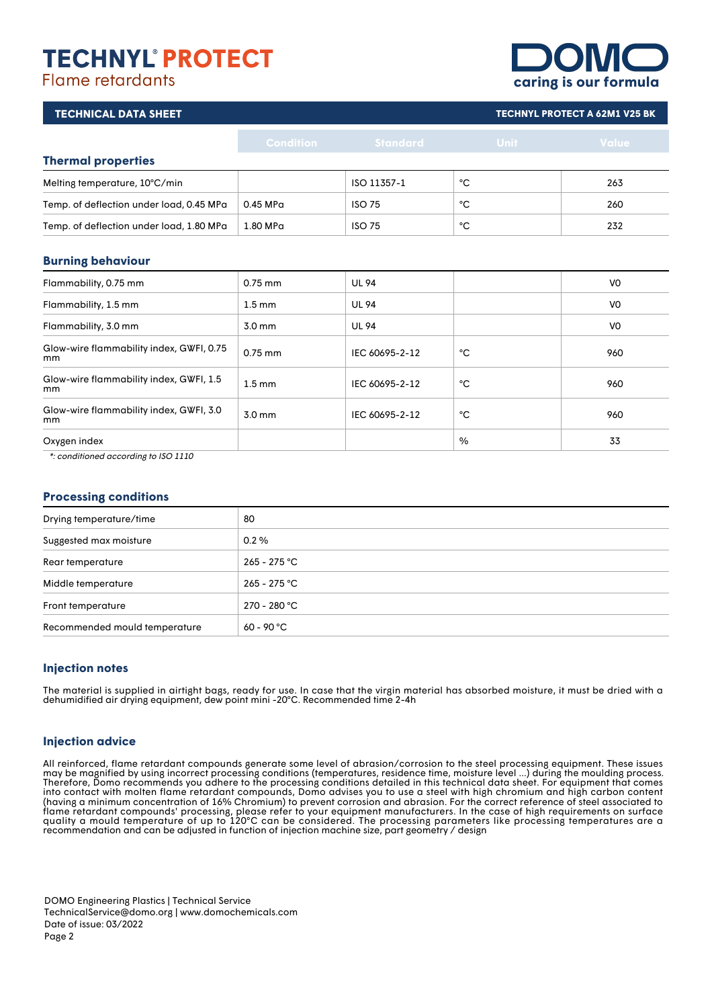# **TECHNYL' PROTECT**

#### **Flame retardants**

| <b>OMQ</b>            |  |
|-----------------------|--|
| caring is our formula |  |

|                  |                                                                                                                                  |             | <b>TECHNYL PROTECT A 62M1 V25 BK</b> |
|------------------|----------------------------------------------------------------------------------------------------------------------------------|-------------|--------------------------------------|
| <b>Condition</b> | <b>Standard</b>                                                                                                                  | <b>Unit</b> | Value                                |
|                  |                                                                                                                                  |             |                                      |
|                  | ISO 11357-1                                                                                                                      | °C          | 263                                  |
| 0.45 MPa         | <b>ISO 75</b>                                                                                                                    | °C          | 260                                  |
| 1.80 MPa         | <b>ISO 75</b>                                                                                                                    | °C          | 232                                  |
|                  |                                                                                                                                  |             |                                      |
| $0.75$ mm        | <b>UL 94</b>                                                                                                                     |             | V <sub>0</sub>                       |
| $1.5 \text{ mm}$ | <b>UL 94</b>                                                                                                                     |             | V <sub>0</sub>                       |
| 3.0 mm           | <b>UL 94</b>                                                                                                                     |             | V <sub>0</sub>                       |
| $0.75$ mm        | IEC 60695-2-12                                                                                                                   | °С          | 960                                  |
|                  | Temp. of deflection under load, 0.45 MPa<br>Temp. of deflection under load, 1.80 MPa<br>Glow-wire flammability index, GWFI, 0.75 |             |                                      |

#### Glow-wire flammability index, GWFI, 1.5  $\begin{array}{|c|c|c|c|c|c|}\n\hline\n\text{non} & \text{non} & \text{non} & \text{non} & \text{non} & \text{non} & \text{non} & \text{non} & \text{non} & \text{non} & \text{non} & \text{non} & \text{non} & \text{non} & \text{non} & \text{non} & \text{non} & \text{non} & \text{non} & \text{non} & \text{non} & \text{non} & \text{non} & \text{non} & \text{non} & \text{non} & \text{non} & \text{non} & \text{non} & \text{non} & \text{non} & \text{non} & \text{non$ Glow-wire flammability index, GWFI, 3.0  $\begin{array}{|c|c|c|c|c|c|c|c|c|}\n\hline \text{M}} & \text{M}} & \text{M} & \text{M}} & \text{M} & \text{M} & \text{M} \\
\hline \text{M}} & \text{M} & \text{M} & \text{M} & \text{M} \\
\hline \text{M}} & \text{M} & \text{M} & \text{M} & \text{M} \\
\hline \text{M}} & \text{M} & \text{M} & \text{M} & \text{M} \\
\hline \text{M}} & \text{M} & \text{M} & \text{M} & \text{M} \\
\hline \text{M}} & \text{M} & \text$ Oxygen index 33

\*: conditioned according to ISO 1110

#### **Processing conditions**

| Drying temperature/time       | 80             |
|-------------------------------|----------------|
| Suggested max moisture        | $0.2\%$        |
| Rear temperature              | $265 - 275 °C$ |
| Middle temperature            | $265 - 275$ °C |
| Front temperature             | 270 - 280 °C   |
| Recommended mould temperature | $60 - 90 °C$   |

#### **Injection notes**

The material is supplied in airtight bags, ready for use. In case that the virgin material has absorbed moisture, it must be dried with a dehumidified air drying equipment, dew point mini -20°C. Recommended time 2-4h

#### **Injection advice**

All reinforced, flame retardant compounds generate some level of abrasion/corrosion to the steel processing equipment. These issues may be magnified by using incorrect processing conditions (temperatures, residence time, moisture level ...) during the moulding process. Therefore, Domo recommends you adhere to the processing conditions detailed in this technical data sheet. For equipment that comes into contact with molten flame retardant compounds, Domo advises you to use a steel with high chromium and high carbon content (having a minimum concentration of 16% Chromium) to prevent corrosion and abrasion. For the correct reference of steel associated to flame retardant compounds' processing, please refer to your equipment manufacturers. In the case of high requirements on surface quality a mould temperature of up to 120°C can be considered. The processing parameters like processing temperatures are a recommendation and can be adjusted in function of injection machine size, part geometry / design

DOMO Engineering Plastics | Technical Service TechnicalService@domo.org | www.domochemicals.com Date of issue: 03/2022 Page 2